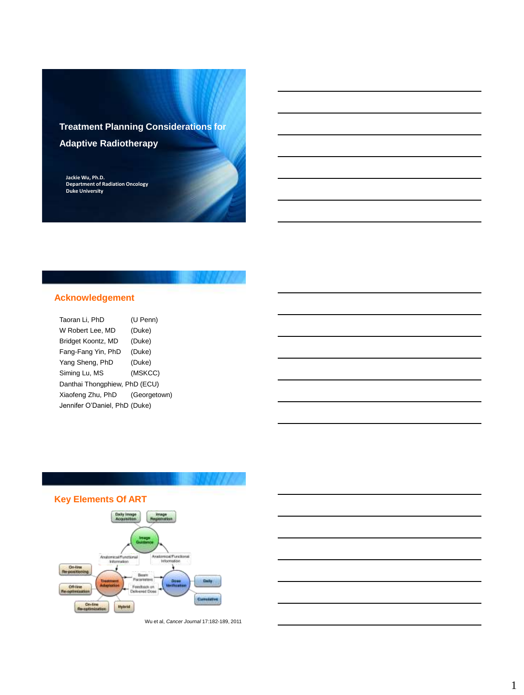# **Treatment Planning Considerations for Adaptive Radiotherapy**

**Jackie Wu, Ph.D. Department of Radiation Oncology Duke University**

## **Acknowledgement**

| Taoran Li, PhD                | (U Penn)     |  |  |  |
|-------------------------------|--------------|--|--|--|
| W Robert Lee, MD              | (Duke)       |  |  |  |
| Bridget Koontz, MD            | (Duke)       |  |  |  |
| Fang-Fang Yin, PhD            | (Duke)       |  |  |  |
| Yang Sheng, PhD               | (Duke)       |  |  |  |
| Siming Lu, MS                 | (MSKCC)      |  |  |  |
| Danthai Thongphiew, PhD (ECU) |              |  |  |  |
| Xiaofeng Zhu, PhD             | (Georgetown) |  |  |  |
| Jennifer O'Daniel, PhD (Duke) |              |  |  |  |



Wu et al, *Cancer Journal* 17:182-189, 2011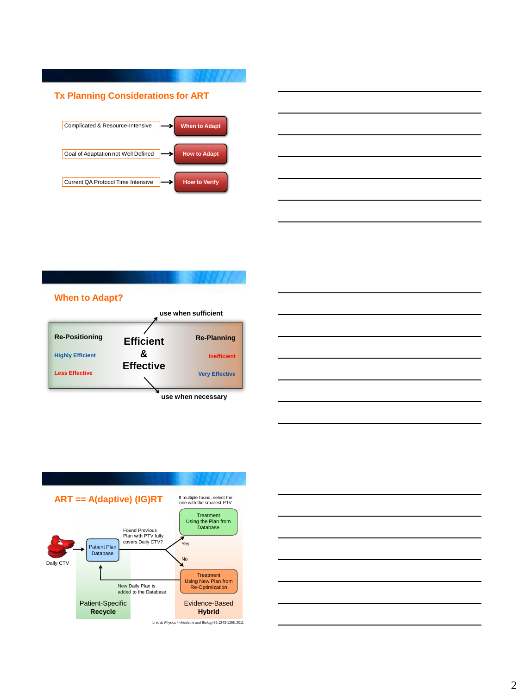

|                                                                                                                       |  | the control of the control of the |  |
|-----------------------------------------------------------------------------------------------------------------------|--|-----------------------------------|--|
|                                                                                                                       |  |                                   |  |
| <u> 1989 - Johann Stoff, deutscher Stoffen und der Stoffen und der Stoffen und der Stoffen und der Stoffen und d</u>  |  |                                   |  |
| <u> 1989 - Johann Stoff, deutscher Stoff, der Stoff, der Stoff, der Stoff, der Stoff, der Stoff, der Stoff, der S</u> |  |                                   |  |
|                                                                                                                       |  |                                   |  |
|                                                                                                                       |  |                                   |  |









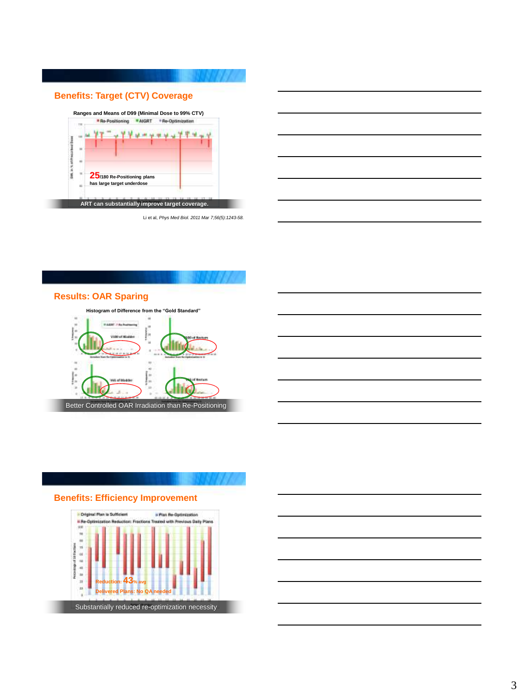

**ART can substantially improve target coverage.**

| <u> 1989 - Johann Stoff, deutscher Stoffen und der Stoffen und der Stoffen und der Stoffen und der Stoffen und de</u> |  |                                   |
|-----------------------------------------------------------------------------------------------------------------------|--|-----------------------------------|
|                                                                                                                       |  |                                   |
| <u> 1989 - Andrea Andrew Maria (h. 1989).</u>                                                                         |  |                                   |
|                                                                                                                       |  |                                   |
| <u> 1989 - Johann Stoff, Amerikaansk politiker (* 1989)</u>                                                           |  |                                   |
|                                                                                                                       |  |                                   |
|                                                                                                                       |  | the control of the control of the |
|                                                                                                                       |  |                                   |

Li et al, *Phys Med Biol. 2011 Mar 7;56(5):1243-58.*



### **Results: OAR Sparing**



**Benefits: Efficiency Improvement**



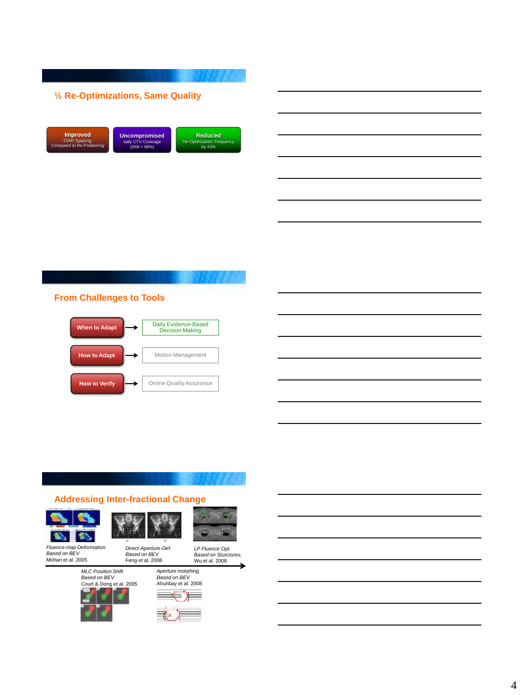



### **From Challenges to Tools**



### **Addressing Inter-fractional Change**







*LP Fluence Opt.*

*Fluence-map Deformation Based on BEV* Mohan et al. 2005

*Direct-Aperture-Def. Based on BEV* Feng et al. 2006





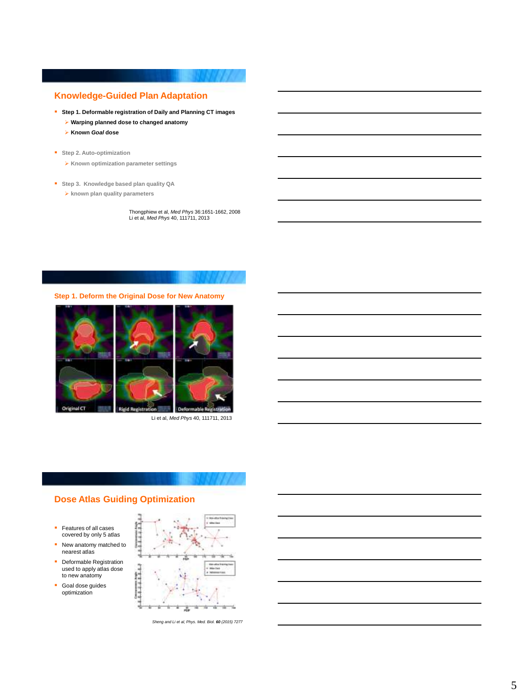### **Knowledge-Guided Plan Adaptation**

- **Step 1. Deformable registration of Daily and Planning CT images**
	- **Warping planned dose to changed anatomy**
	- **Known** *Goal* **dose**
- **Step 2. Auto-optimization** 
	- **Known optimization parameter settings**
- **Step 3. Knowledge based plan quality QA**
	- **known plan quality parameters**

Thongphiew et al, *Med Phys* 36:1651-1662, 2008 Li et al, *Med Phys* 40, 111711, 2013

**Step 1. Deform the Original Dose for New Anatomy**



Li et al, *Med Phys* 40, 111711, 2013

### **Dose Atlas Guiding Optimization**

- **Features of all cases** covered by only 5 atlas
- New anatomy matched to nearest atlas
- **Deformable Registration** used to apply atlas dose to new anatomy
- **Goal dose guides** optimization



*Sheng and Li et al, Phys. Med. Biol. 60 (2015) 7277*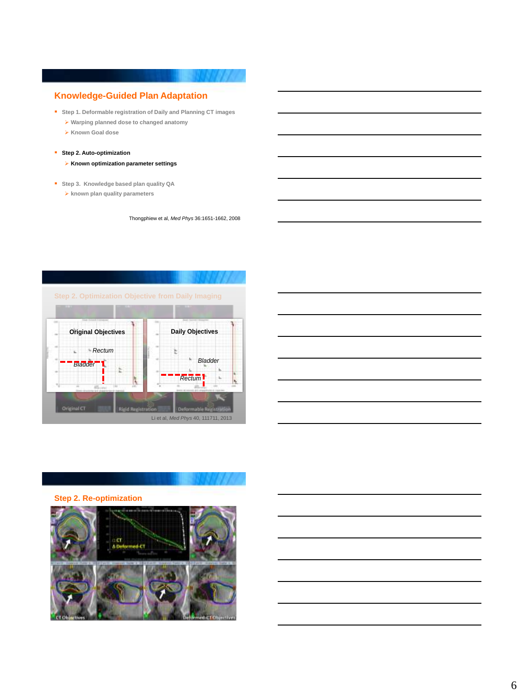### **Knowledge-Guided Plan Adaptation**

- **Step 1. Deformable registration of Daily and Planning CT images**
	- **Warping planned dose to changed anatomy**
	- **Known Goal dose**

### **Step 2. Auto-optimization**

- **Known optimization parameter settings**
- **Step 3. Knowledge based plan quality QA**
	- **known plan quality parameters**

Thongphiew et al, *Med Phys* 36:1651-1662, 2008





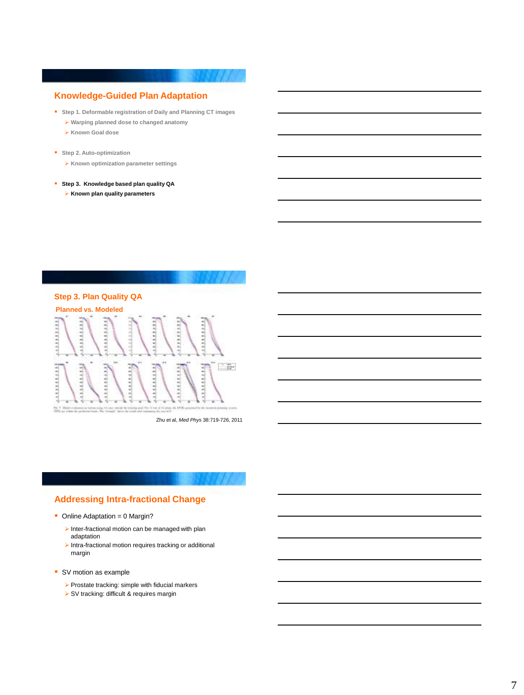### **Knowledge-Guided Plan Adaptation**

- **Step 1. Deformable registration of Daily and Planning CT images**
	- **Warping planned dose to changed anatomy**
	- **Known Goal dose**
- **Step 2. Auto-optimization** 
	- **Known optimization parameter settings**
- **Step 3. Knowledge based plan quality QA**
	- **Known plan quality parameters**



Zhu et al, *Med Phys* 38:719-726, 2011

# **Addressing Intra-fractional Change**

- $\blacksquare$  Online Adaptation = 0 Margin?
	- $\blacktriangleright$  Inter-fractional motion can be managed with plan adaptation
	- $\blacktriangleright$  Intra-fractional motion requires tracking or additional margin
- SV motion as example
	- $\triangleright$  Prostate tracking: simple with fiducial markers
	- SV tracking: difficult & requires margin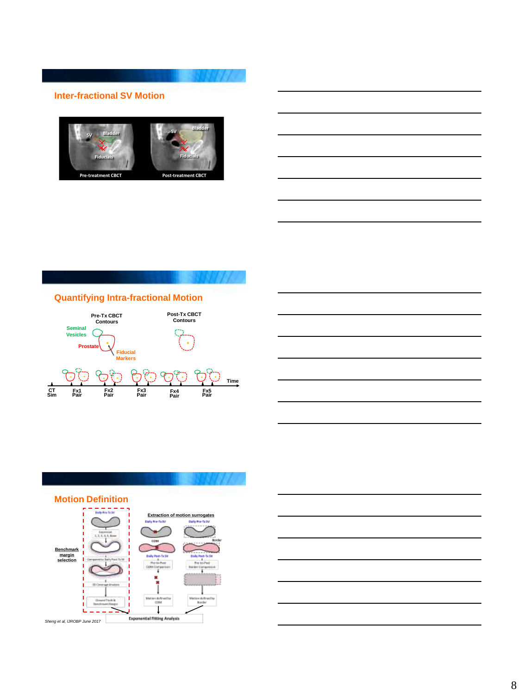### **Inter-fractional SV Motion**



### **Quantifying Intra-fractional Motion**



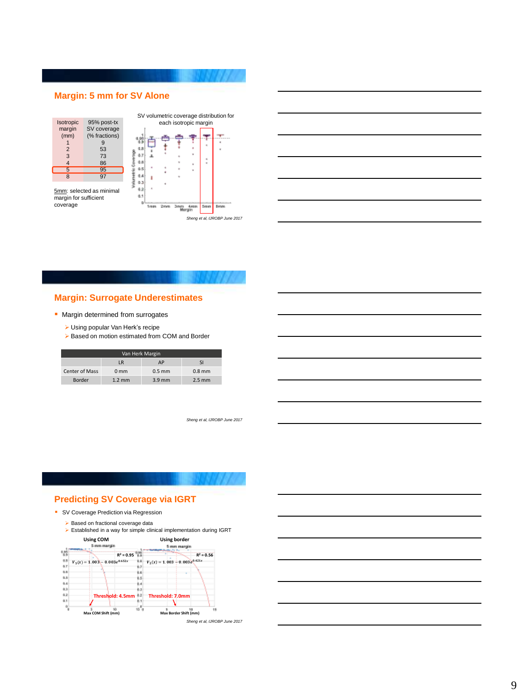### **Margin: 5 mm for SV Alone**



5mm: selected as minimal margin for sufficient coverage





### **Margin: Surrogate Underestimates**

### **Margin determined from surrogates**

- Using popular Van Herk's recipe
- ▶ Based on motion estimated from COM and Border

| Van Herk Margin       |                  |                  |           |  |  |
|-----------------------|------------------|------------------|-----------|--|--|
|                       | <b>LR</b>        | AP               | <b>SI</b> |  |  |
| <b>Center of Mass</b> | 0 <sub>mm</sub>  | $0.5 \text{ mm}$ | $0.8$ mm  |  |  |
| Border                | $1.2 \text{ mm}$ | $3.9$ mm         | $2.5$ mm  |  |  |

*Sheng et al, IJROBP June 2017*

### **Predicting SV Coverage via IGRT**

- **SV Coverage Prediction via Regression** 
	- $\triangleright$  Based on fractional coverage data
	- Established in a way for simple clinical implementation during IGRT